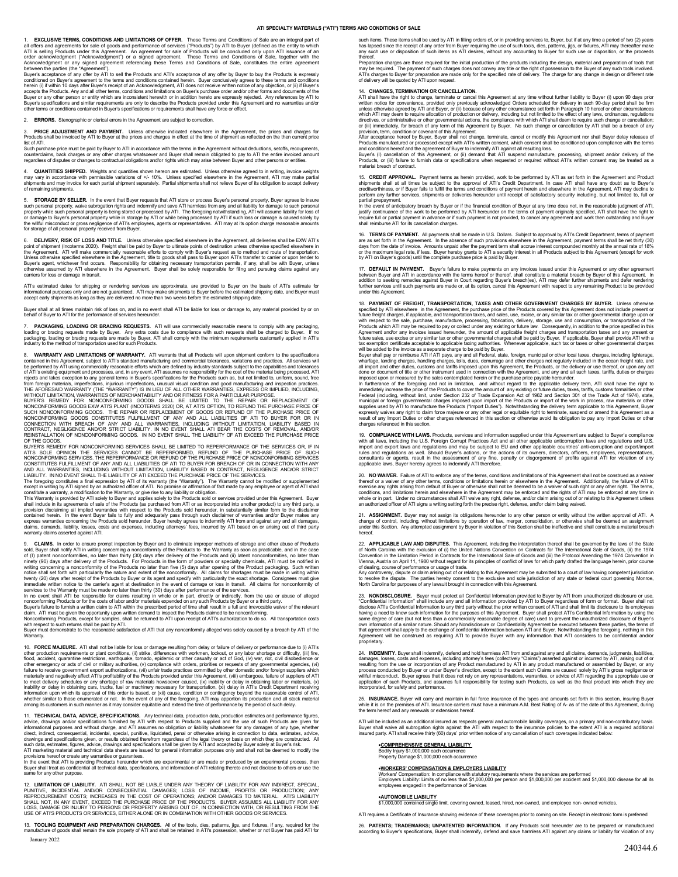## **ATI SPECIALTY MATERIALS ("ATI") TERMS AND CONDITIONS OF SALE**

1. **EXCLUSIVE TERMS, CONDITIONS AND LIMITATIONS OF OFFER.** These Terms and Conditions of Sale are an integral part of the dil offers and greenents for sale of goods and performance of services ("Products") by ATI to Buyer

conditioned on Buyer's agreement to the terms and conditions contained herein. Buyer conclusively agrees to these terms and conditioned one herein (i) if within 10 days after Buyer's receipt of an Acknowledgment, ATI does

2. **ERRORS.** Stenographic or clerical errors in the Agreement are subject to correction.

3. PRICE ADJUSTMENT AND PAYMENT. Unless othewise indicated elsewhere in the Agreement, the prices and charges for<br>listof ATI. And the invoiced by ATI to Buyer at the prices and charges in effect at the time of shipment as

counterclaims, back charges or any other charges whatsoever and Buyer shall remain obligated to pay to ATI the entire invoiced amount<br>regardless of disputes or changes to contractual obligations and/or rights which may ari

4. **QUANTITIES SHIPPED**. Weights and quantities shown hereon are estimated. Unless otherwise agreed to in writing, invoice weights<br>may vary in accordance with permissible variations of ≁/- 10%. Unless specified elsewhere

5. STORAGE BY SELLER. In the event that Buyer requests that ATI store or process Buyer's personal property. Beauton presents insure such as such as such personal property while such personal property while use to such pers

6. DELIVERY, RISK OF LOSS AND TITLE. Unleas otherwise specified elsewhere in the Agreement, all deliveries shall be EXW AT's Considered in the Signetian opinit of shipment (Incolems 2020). Freight shall be paid by Buyer to

ATI's estimated dates for shipping or rendering services are approximate, are provided to Buyer on the basis of ATI's estimate for<br>informational purposes only and are not guaranteed. ATI may make shipments to Buyer before

Buyer shall at all times maintain risk of loss on, and in no event shall ATI be liable for loss or damage to, any material provided by or on<br>behalf of Buyer to ATI for the performance of services hereunder.

7. PACKAGING, LOADING OR BRACING REQUESTS. ATI will use commercially reasonable means to comply with any packaging,<br>loading or bracing requests made by Buyer. Any extra costs due to compliance with such requests shall be c

8. WARRANTY AND LIMITATIONS OF WARRANTY. ATI warrants that all Products will use in simplent conform to the specifications occidents with a media occurrence of the secoficial of the specification of ATI using commercially

BUYER'S REMEDY FOR NONCONFORMING SERVICES SHALL BE LIMITED TO REPERFOORMANCE OF THE SERVICES OR, IF IN<br>ATI'S SOLE OPINION THE SERVICES CANNOT BE REPERFOORMED, REFUND OF THE PURCHASE PRICE OF SUCH<br>CONSONFORMING SERVICES. TH

constitute a warranty, a modification to the Warranty, or give rise to any liability or obligation. This Warranty is provided by ATI solely to Buyer and applies solely to the Products sold or services provided under in its

9. **CLAIMS.** In order to ensure prompt inspection by Buyer and to eliminate improper methods of storage and other abuse of Products by Buyer and in the case<br>sold, Buyer shall notify ATI in writing concerning a nonconformit

Buyer must demonstrate to the reasonable satisfaction of ATI that any nonconformity alleged was solely caused by a breach by ATI of the Warranty.

10. **FORCE MAJEURE.** ATI shall not be liable for loss or damage resulting from delay or failure of delivery or performance due to [0,ATI's more production requirements or plant conditions, (ii) strike, differences with wor

11. TECHNICAL DATA, ADVICE, SPECIFICATIONS. Any lechnical data production data, production estimates and performance figures, and a diverse of such Products are given for adviced and whole constrained by ATI with respect t

12. LIMITATION OF LIABILITY. ATI SHALL NOT BE LIABLE UNDER ANY THEORY OF LIABILITY FOR ANY INDIRECT, SPECIAL,<br>PEINITIVE, INCIDENTAL ANDIOR CONSEQUENTIAL DAMAGES; LOSS OF INCOME, PROFITS OR PRODUCTION; ANY<br>REHALL NOT, IN AN

January 2022 13. TOOLING EQUIPMENT AND PREPARATION CHARGES. All of the tools, dies, patterns, jigs, and fixtures, if any, required for the<br>manufacture of goods shall remain the sole property of ATI and shall be retained in ATI's posses such items. These items shall be used by ATI in filling orders of, or in providing services to, Buyer, but if at any time a period of two (2) years<br>has lapsed since the receipt of any order from Buyer requiring the use of

thereof.<br>Preparation charges are those required for the initial production of the products including the design, material and preparation of tools that may be required. The payment of such charges does not convey any title or the right of possession to the Buyer of any such tools involved.<br>ATI's charges to Buyer for preparation are made only for the specified rate of deli

14. CHANGES, TERMINATION OR CANCELLATION.<br>ATI shall have the right to change, terminate or cancel this Agreement at any time without further liability to Buyer (i) upon 90 days prior<br>ATI shall have the right to change, ter

15. **CREDIT APPROVAL.** Payment terms as herein provided, work to be performed by ATI as set forth in the Agreement and Product<br>shipments shall at all times be subject to the approval of ATI's Credit Department. In case ATI

partial prepayment.<br>In the event of anticipatory breach by Buyer or if the financial condition of Buyer at any time does not, in the reasonable judgment of ATI,<br>justify continuance of the work to be performed by ATI hereun

16. TERMS OF PAYMENT. All payments shall be made in U.S. Dollars. Subject to approval by ATI's Credit Department, terms of payment and are are set forth in the Agreement. In the absence of such provisions elsewhere in the

17. D**EFAULT IN PAYMENT.** Buyer's failure to make payments on any invoices issued under this Agreement or any other agreement<br>between Buyer and ATI in accordance with the terms hereof or thereof, shall constitute a materia

18. **PAYMENT OF FREIGHT, TRANSPORTATION, TAXES AND OTHER GOVERNMENT CHARGES BY BUYER. Unleas other<br>specified by ATI elsewhere in the Agreement, the purchase price of the Products covered by this Agreement does not include** 

19. COMPLIANCE WITH LAWS. Products, services and information supplied under this Agreement are subject to Buyer's compilance<br>with all laws, including the U.S. Foreign Corrupt Practices Act and all other applicable anticorr

20. NO WANDER. Failure of ATI to enforce any of the terms, conditions and limitations of this Agreement shall not be construed as a waiver<br>thereof or a waiver of any other terms, conditions or limitations herein or elsewhe

21. ASSIGNMENT. Buyer may not assign its obligations hereunder to any other person or entity without the written approval of ATI. A<br>change of control, including, without limitations by operation of law, merger, consolidati hereof.

22. APPLICABLE LAW AND DISPUTES. This Agreement, including the interpretation thereof shall be governard by the law<br>of North Carolina with the exclusion of (i) the United Nations Convention on Contracts for The Internation

23. NONDISCLOSURE. Buyer must protect all Confidential information provided by ATI to Buyer by ATI from unauthorized disclosure or use.<br>"Confidential Information" shall include any and all information provided by ATI to Bu

24. INDENINTY. Buyer shall indemnify, defend and hold harmless ATI from and against any and all claims, demands, judgments, liabilities, dangers, ossis and expenses, including attorney fee (collectively "Claims") asserted

25. INSURANCE. Buyer will carry and maintain in full force insurance of the types and amounts set forth in this section, insuring Buyer<br>while it is on the premises of ATI. Insurance carries must have a minimum A.M. Best Ra

ATI will be included as an additional insured as respects general and automobile liability coverages, on a primary and non-contributory basis.<br>Buyer shall waive all subrogation rights against the ATI with respect to the in

•**COMPREHENSIVE GENERAL LIABILITY**  Bodily Injury \$1,000,000 each occurrence Property Damage \$1,000,000 each occurrence

## •**WORKERS' COMPENSATION & EMPLOYERS LIABILITY**

Workers' Compensation: In compliance with statutory requirements where the services are performed<br>Employers Liability: Limits of no less than \$1,000,000 per person and \$1,000,000 per accident and \$1,000,000 disease for all

•**AUTOMOBILE LIABILITY**  \$1,000,000 combined single limit, covering owned, leased, hired, non-owned, and employee non- owned vehicles.

ATI requires a Certificate of Insurance showing evidence of these coverages prior to coming on site. Receipt in electronic form is preferred

26. P**ATENTS; TRADEMARKS; UNPATENTED INFORMATION.** If any Products sold hereunder are to be prepared or manufactured<br>according to Buyer's specifications, Buyer shall indemnify, defend and save harmless ATI against any clai